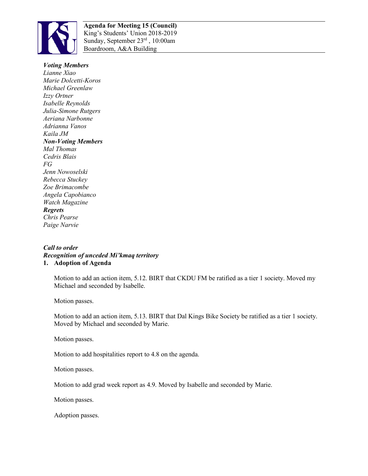

## *Voting Members*

*Lianne Xiao Marie Dolcetti-Koros Michael Greenlaw Izzy Ortner Isabelle Reynolds Julia-Simone Rutgers Aeriana Narbonne Adrianna Vanos Kaila JM Non-Voting Members Mal Thomas Cedris Blais FG Jenn Nowoselski Rebecca Stuckey Zoe Brimacombe Angela Capobianco Watch Magazine Regrets Chris Pearse Paige Narvie*

## *Call to order Recognition of unceded Mi'kmaq territory*  **1. Adoption of Agenda**

Motion to add an action item, 5.12. BIRT that CKDU FM be ratified as a tier 1 society. Moved my Michael and seconded by Isabelle.

Motion passes.

Motion to add an action item, 5.13. BIRT that Dal Kings Bike Society be ratified as a tier 1 society. Moved by Michael and seconded by Marie.

Motion passes.

Motion to add hospitalities report to 4.8 on the agenda.

Motion passes.

Motion to add grad week report as 4.9. Moved by Isabelle and seconded by Marie.

Motion passes.

Adoption passes.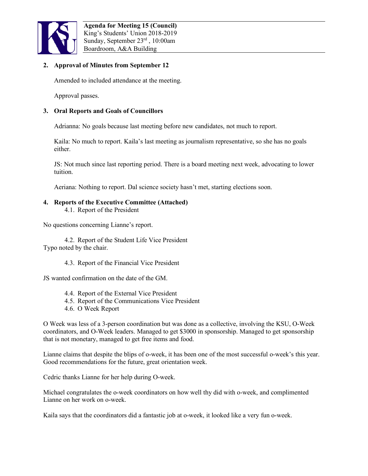

# **2. Approval of Minutes from September 12**

Amended to included attendance at the meeting.

Approval passes.

# **3. Oral Reports and Goals of Councillors**

Adrianna: No goals because last meeting before new candidates, not much to report.

Kaila: No much to report. Kaila's last meeting as journalism representative, so she has no goals either.

JS: Not much since last reporting period. There is a board meeting next week, advocating to lower tuition.

Aeriana: Nothing to report. Dal science society hasn't met, starting elections soon.

### **4. Reports of the Executive Committee (Attached)** 4.1. Report of the President

No questions concerning Lianne's report.

4.2. Report of the Student Life Vice President Typo noted by the chair.

4.3. Report of the Financial Vice President

JS wanted confirmation on the date of the GM.

- 4.4. Report of the External Vice President
- 4.5. Report of the Communications Vice President
- 4.6. O Week Report

O Week was less of a 3-person coordination but was done as a collective, involving the KSU, O-Week coordinators, and O-Week leaders. Managed to get \$3000 in sponsorship. Managed to get sponsorship that is not monetary, managed to get free items and food.

Lianne claims that despite the blips of o-week, it has been one of the most successful o-week's this year. Good recommendations for the future, great orientation week.

Cedric thanks Lianne for her help during O-week.

Michael congratulates the o-week coordinators on how well thy did with o-week, and complimented Lianne on her work on o-week.

Kaila says that the coordinators did a fantastic job at o-week, it looked like a very fun o-week.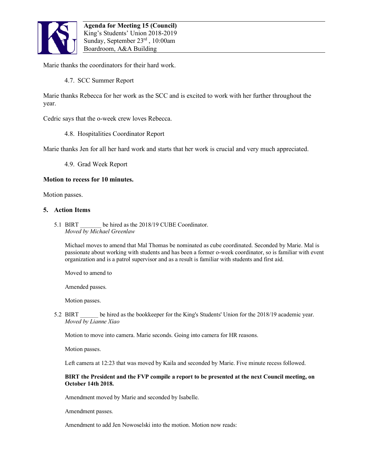

Marie thanks the coordinators for their hard work.

4.7. SCC Summer Report

Marie thanks Rebecca for her work as the SCC and is excited to work with her further throughout the year.

Cedric says that the o-week crew loves Rebecca.

4.8. Hospitalities Coordinator Report

Marie thanks Jen for all her hard work and starts that her work is crucial and very much appreciated.

4.9. Grad Week Report

## **Motion to recess for 10 minutes.**

Motion passes.

## **5. Action Items**

5.1 BIRT be hired as the 2018/19 CUBE Coordinator. *Moved by Michael Greenlaw*

Michael moves to amend that Mal Thomas be nominated as cube coordinated. Seconded by Marie. Mal is passionate about working with students and has been a former o-week coordinator, so is familiar with event organization and is a patrol supervisor and as a result is familiar with students and first aid.

Moved to amend to

Amended passes.

Motion passes.

5.2 BIRT be hired as the bookkeeper for the King's Students' Union for the 2018/19 academic year. *Moved by Lianne Xiao* 

Motion to move into camera. Marie seconds. Going into camera for HR reasons.

Motion passes.

Left camera at 12:23 that was moved by Kaila and seconded by Marie. Five minute recess followed.

### **BIRT the President and the FVP compile a report to be presented at the next Council meeting, on October 14th 2018.**

Amendment moved by Marie and seconded by Isabelle.

Amendment passes.

Amendment to add Jen Nowoselski into the motion. Motion now reads: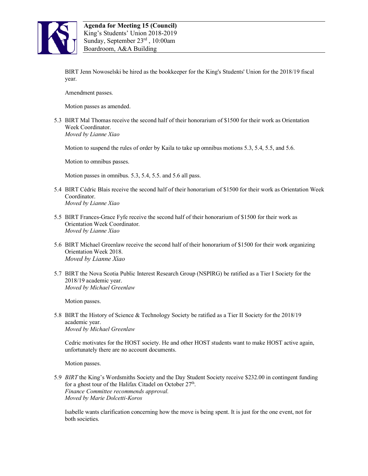

BIRT Jenn Nowoselski be hired as the bookkeeper for the King's Students' Union for the 2018/19 fiscal year.

Amendment passes.

Motion passes as amended.

5.3 BIRT Mal Thomas receive the second half of their honorarium of \$1500 for their work as Orientation Week Coordinator. *Moved by Lianne Xiao*

Motion to suspend the rules of order by Kaila to take up omnibus motions 5.3, 5.4, 5.5, and 5.6.

Motion to omnibus passes.

Motion passes in omnibus. 5.3, 5.4, 5.5. and 5.6 all pass.

- 5.4 BIRT Cédric Blais receive the second half of their honorarium of \$1500 for their work as Orientation Week Coordinator. *Moved by Lianne Xiao*
- 5.5 BIRT Frances-Grace Fyfe receive the second half of their honorarium of \$1500 for their work as Orientation Week Coordinator. *Moved by Lianne Xiao*
- 5.6 BIRT Michael Greenlaw receive the second half of their honorarium of \$1500 for their work organizing Orientation Week 2018. *Moved by Lianne Xiao*
- 5.7 BIRT the Nova Scotia Public Interest Research Group (NSPIRG) be ratified as a Tier I Society for the 2018/19 academic year. *Moved by Michael Greenlaw*

Motion passes.

5.8 BIRT the History of Science & Technology Society be ratified as a Tier II Society for the 2018/19 academic year. *Moved by Michael Greenlaw* 

Cedric motivates for the HOST society. He and other HOST students want to make HOST active again, unfortunately there are no account documents.

Motion passes.

5.9 *BIRT* the King's Wordsmiths Society and the Day Student Society receive \$232.00 in contingent funding for a ghost tour of the Halifax Citadel on October 27<sup>th</sup>. *Finance Committee recommends approval. Moved by Marie Dolcetti-Koros*

Isabelle wants clarification concerning how the move is being spent. It is just for the one event, not for both societies.